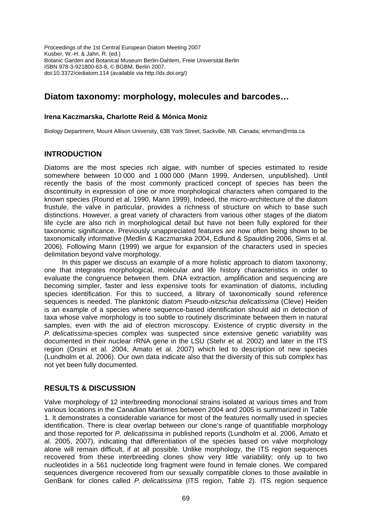Proceedings of the 1st Central European Diatom Meeting 2007 Kusber, W.-H. & Jahn, R. (ed.) Botanic Garden and Botanical Museum Berlin-Dahlem, Freie Universität Berlin ISBN 978-3-921800-63-8, © BGBM, Berlin 2007. doi:10.3372/cediatom.114 (available via http://dx.doi.org/)

# **Diatom taxonomy: morphology, molecules and barcodes…**

### **Irena Kaczmarska, Charlotte Reid & Mónica Moniz**

Biology Department, Mount Allison University, 63B York Street, Sackville, NB, Canada; iehrman@mta.ca

### **INTRODUCTION**

Diatoms are the most species rich algae, with number of species estimated to reside somewhere between 10 000 and 1 000 000 (Mann 1999, Andersen, unpublished). Until recently the basis of the most commonly practiced concept of species has been the discontinuity in expression of one or more morphological characters when compared to the known species (Round et al. 1990, Mann 1999). Indeed, the micro-architecture of the diatom frustule, the valve in particular, provides a richness of structure on which to base such distinctions. However, a great variety of characters from various other stages of the diatom life cycle are also rich in morphological detail but have not been fully explored for their taxonomic significance. Previously unappreciated features are now often being shown to be taxonomically informative (Medlin & Kaczmarska 2004, Edlund & Spaulding 2006, Sims et al. 2006). Following Mann (1999) we argue for expansion of the characters used in species delimitation beyond valve morphology.

In this paper we discuss an example of a more holistic approach to diatom taxonomy, one that integrates morphological, molecular and life history characteristics in order to evaluate the congruence between them. DNA extraction, amplification and sequencing are becoming simpler, faster and less expensive tools for examination of diatoms, including species identification. For this to succeed, a library of taxonomically sound reference sequences is needed. The planktonic diatom *Pseudo-nitzschia delicatissima* (Cleve) Heiden is an example of a species where sequence-based identification should aid in detection of taxa whose valve morphology is too subtle to routinely discriminate between them in natural samples, even with the aid of electron microscopy. Existence of cryptic diversity in the *P. delicatissima*-species complex was suspected since extensive genetic variability was documented in their nuclear rRNA gene in the LSU (Stehr et al. 2002) and later in the ITS region (Orsini et al. 2004, Amato et al. 2007) which led to description of new species (Lundholm et al. 2006). Our own data indicate also that the diversity of this sub complex has not yet been fully documented.

## **RESULTS & DISCUSSION**

Valve morphology of 12 interbreeding monoclonal strains isolated at various times and from various locations in the Canadian Maritimes between 2004 and 2005 is summarized in Table 1. It demonstrates a considerable variance for most of the features normally used in species identification. There is clear overlap between our clone's range of quantifiable morphology and those reported for *P. delicatissima* in published reports (Lundholm et al. 2006, Amato et al. 2005, 2007), indicating that differentiation of the species based on valve morphology alone will remain difficult, if at all possible. Unlike morphology, the ITS region sequences recovered from these interbreeding clones show very little variability; only up to two nucleotides in a 561 nucleotide long fragment were found in female clones. We compared sequences divergence recovered from our sexually compatible clones to those available in GenBank for clones called *P. delicatissima* (ITS region, Table 2). ITS region sequence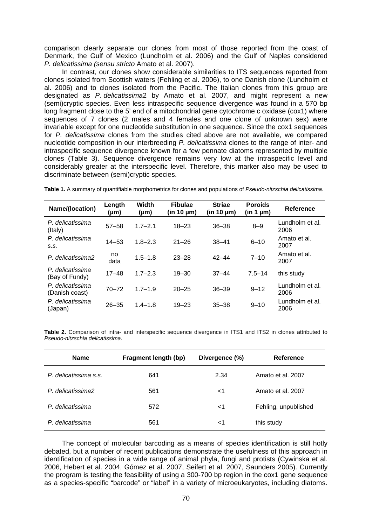comparison clearly separate our clones from most of those reported from the coast of Denmark, the Gulf of Mexico (Lundholm et al. 2006) and the Gulf of Naples considered *P. delicatissima (sensu stricto* Amato et al. 2007).

In contrast, our clones show considerable similarities to ITS sequences reported from clones isolated from Scottish waters (Fehling et al. 2006), to one Danish clone (Lundholm et al. 2006) and to clones isolated from the Pacific. The Italian clones from this group are designated as *P. delicatissima*2 by Amato et al. 2007, and might represent a new (semi)cryptic species. Even less intraspecific sequence divergence was found in a 570 bp long fragment close to the 5' end of a mitochondrial gene cytochrome c oxidase (cox1) where sequences of 7 clones (2 males and 4 females and one clone of unknown sex) were invariable except for one nucleotide substitution in one sequence. Since the cox1 sequences for *P. delicatissima* clones from the studies cited above are not available, we compared nucleotide composition in our interbreeding *P. delicatissima* clones to the range of inter- and intraspecific sequence divergence known for a few pennate diatoms represented by multiple clones (Table 3). Sequence divergence remains very low at the intraspecific level and considerably greater at the interspecific level. Therefore, this marker also may be used to discriminate between (semi)cryptic species.

| Name/(location)                    | Length<br>$(\mu m)$ | Width<br>$(\mu m)$ | <b>Fibulae</b><br>$(in 10 \mu m)$ | <b>Striae</b><br>$(in 10 \mu m)$ | <b>Poroids</b><br>(in 1 µm) | Reference               |
|------------------------------------|---------------------|--------------------|-----------------------------------|----------------------------------|-----------------------------|-------------------------|
| P. delicatissima<br>(Italy)        | $57 - 58$           | $1.7 - 2.1$        | $18 - 23$                         | $36 - 38$                        | $8 - 9$                     | Lundholm et al.<br>2006 |
| P. delicatissima<br>S.S.           | $14 - 53$           | $1.8 - 2.3$        | $21 - 26$                         | $38 - 41$                        | $6 - 10$                    | Amato et al.<br>2007    |
| P. delicatissima2                  | no<br>data          | $1.5 - 1.8$        | $23 - 28$                         | $42 - 44$                        | $7 - 10$                    | Amato et al.<br>2007    |
| P. delicatissima<br>(Bay of Fundy) | $17 - 48$           | $1.7 - 2.3$        | $19 - 30$                         | $37 - 44$                        | $7.5 - 14$                  | this study              |
| P. delicatissima<br>(Danish coast) | $70 - 72$           | $1.7 - 1.9$        | $20 - 25$                         | $36 - 39$                        | $9 - 12$                    | Lundholm et al.<br>2006 |
| P. delicatissima<br>(Japan)        | $26 - 35$           | $1.4 - 1.8$        | $19 - 23$                         | $35 - 38$                        | $9 - 10$                    | Lundholm et al.<br>2006 |

**Table 2.** Comparison of intra- and interspecific sequence divergence in ITS1 and ITS2 in clones attributed to *Pseudo-nitzschia delicatissima*.

| <b>Name</b>           | Fragment length (bp) | Divergence (%) | Reference            |
|-----------------------|----------------------|----------------|----------------------|
| P. delicatissima s.s. | 641                  | 2.34           | Amato et al. 2007    |
| P. delicatissima2     | 561                  | ا>             | Amato et al. 2007    |
| P. delicatissima      | 572                  | $<$ 1          | Fehling, unpublished |
| P. delicatissima      | 561                  | ا>             | this study           |

The concept of molecular barcoding as a means of species identification is still hotly debated, but a number of recent publications demonstrate the usefulness of this approach in identification of species in a wide range of animal phyla, fungi and protists (Cywinska et al. 2006, Hebert et al. 2004, Gómez et al. 2007, Seifert et al. 2007, Saunders 2005). Currently the program is testing the feasibility of using a 300-700 bp region in the cox1 gene sequence as a species-specific "barcode" or "label" in a variety of microeukaryotes, including diatoms.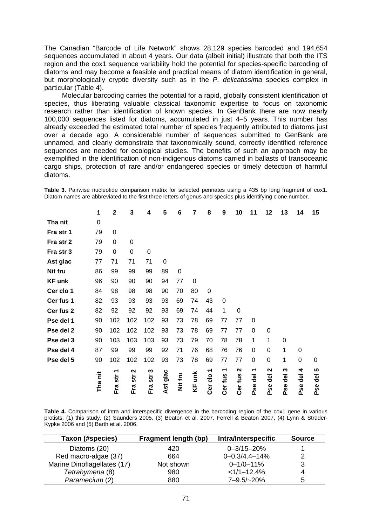The Canadian "Barcode of Life Network" shows 28,129 species barcoded and 194,654 sequences accumulated in about 4 years. Our data (albeit initial) illustrate that both the ITS region and the cox1 sequence variability hold the potential for species-specific barcoding of diatoms and may become a feasible and practical means of diatom identification in general, but morphologically cryptic diversity such as in the *P. delicatissima* species complex in particular (Table 4).

Molecular barcoding carries the potential for a rapid, globally consistent identification of species, thus liberating valuable classical taxonomic expertise to focus on taxonomic research rather than identification of known species. In GenBank there are now nearly 100,000 sequences listed for diatoms, accumulated in just 4–5 years. This number has already exceeded the estimated total number of species frequently attributed to diatoms just over a decade ago. A considerable number of sequences submitted to GenBank are unnamed, and clearly demonstrate that taxonomically sound, correctly identified reference sequences are needed for ecological studies. The benefits of such an approach may be exemplified in the identification of non-indigenous diatoms carried in ballasts of transoceanic cargo ships, protection of rare and/or endangered species or timely detection of harmful diatoms.

**Table 3.** Pairwise nucleotide comparison matrix for selected pennates using a 435 bp long fragment of cox1. Diatom names are abbreviated to the first three letters of genus and species plus identifying clone number.

|               | 1       | $\mathbf 2$                    | 3           | 4        | 5    | 6       | 7           | 8                       | 9            | 10                           | 11     | 12                     | 13     | 14                           | 15                  |
|---------------|---------|--------------------------------|-------------|----------|------|---------|-------------|-------------------------|--------------|------------------------------|--------|------------------------|--------|------------------------------|---------------------|
| Tha nit       | 0       |                                |             |          |      |         |             |                         |              |                              |        |                        |        |                              |                     |
| Fra str 1     | 79      | $\mathbf 0$                    |             |          |      |         |             |                         |              |                              |        |                        |        |                              |                     |
| Fra str 2     | 79      | 0                              | 0           |          |      |         |             |                         |              |                              |        |                        |        |                              |                     |
| Fra str 3     | 79      | 0                              | $\mathbf 0$ | 0        |      |         |             |                         |              |                              |        |                        |        |                              |                     |
| Ast glac      | 77      | 71                             | 71          | 71       | 0    |         |             |                         |              |                              |        |                        |        |                              |                     |
| Nit fru       | 86      | 99                             | 99          | 99       | 89   | 0       |             |                         |              |                              |        |                        |        |                              |                     |
| <b>KF unk</b> | 96      | 90                             | 90          | 90       | 94   | 77      | $\mathbf 0$ |                         |              |                              |        |                        |        |                              |                     |
| Cer clo 1     | 84      | 98                             | 98          | 98       | 90   | 70      | 80          | $\mathbf 0$             |              |                              |        |                        |        |                              |                     |
| Cer fus 1     | 82      | 93                             | 93          | 93       | 93   | 69      | 74          | 43                      | $\mathbf 0$  |                              |        |                        |        |                              |                     |
| Cer fus 2     | 82      | 92                             | 92          | 92       | 93   | 69      | 74          | 44                      | 1            | 0                            |        |                        |        |                              |                     |
| Pse del 1     | 90      | 102                            | 102         | 102      | 93   | 73      | 78          | 69                      | 77           | 77                           | 0      |                        |        |                              |                     |
| Pse del 2     | 90      | 102                            | 102         | 102      | 93   | 73      | 78          | 69                      | 77           | 77                           | 0      | 0                      |        |                              |                     |
| Pse del 3     | 90      | 103                            | 103         | 103      | 93   | 73      | 79          | 70                      | 78           | 78                           | 1      | 1                      | 0      |                              |                     |
| Pse del 4     | 87      | 99                             | 99          | 99       | 92   | 71      | 76          | 68                      | 76           | 76                           | 0      | $\mathbf 0$            | 1      | 0                            |                     |
| Pse del 5     | 90      | 102                            | 102         | 102      | 93   | 73      | 78          | 69                      | 77           | 77                           | 0      | $\mathbf 0$            | 1      | 0                            | 0                   |
|               | Tha nit | ↽<br>$\overline{\mathsf{str}}$ | N<br>str    | ω<br>str | glac | Nit fru | unk<br>ΚF   | ᠆<br>$rac{1}{\sqrt{2}}$ | ᠇<br>Cer fus | $\mathbf{\Omega}$<br>Cer fus | ᠆<br>공 | $\mathbf{\Omega}$<br>공 | ω<br>굥 | 4<br>$\overline{\mathsf{d}}$ | 5<br>$\overline{e}$ |
|               |         | Fra                            | Fra         | Fra      | Ast  |         |             | Cer                     |              |                              | Pse    | Pse                    | Pse    | Pse                          | Pse                 |

**Table 4.** Comparison of intra and interspecific divergence in the barcoding region of the cox1 gene in various protists: (1) this study, (2) Saunders 2005, (3) Beaton et al. 2007, Ferrell & Beaton 2007, (4) Lynn & Strüder-Kypke 2006 and (5) Barth et al. 2006.

| Taxon (#species)            | Fragment length (bp) | Intra/Interspecific | <b>Source</b> |
|-----------------------------|----------------------|---------------------|---------------|
| Diatoms (20)                | 420                  | $0 - 3/15 - 20%$    |               |
| Red macro-algae (37)        | 664                  | $0 - 0.3/4.4 - 14%$ | ⌒             |
| Marine Dinoflagellates (17) | Not shown            | $0 - 1/0 - 11%$     | 3             |
| Tetrahymena (8)             | 980                  | $<1/1-12.4%$        | 4             |
| Paramecium (2)              | 880                  | $7 - 9.5 / - 20%$   | 5             |